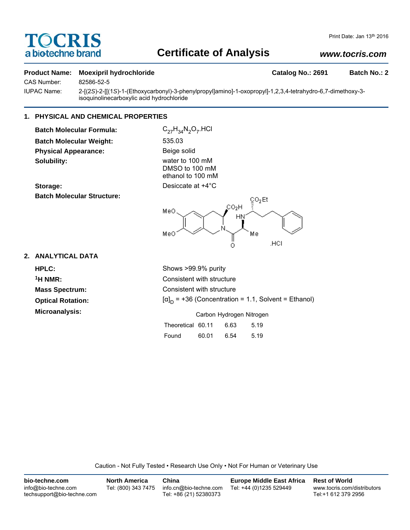# TOCRIS a biotechne brand

## **Certificate of Analysis**

## *www.tocris.com*

#### **Product Name: Moexipril hydrochloride Catalog No.: 2691 Batch No.: 2**

CAS Number: 82586-52-5

IUPAC Name: 2-[(2*S*)-2-[[(1*S*)-1-(Ethoxycarbonyl)-3-phenylpropyl]amino]-1-oxopropyl]-1,2,3,4-tetrahydro-6,7-dimethoxy-3 isoquinolinecarboxylic acid hydrochloride

## **1. PHYSICAL AND CHEMICAL PROPERTIES**

**Batch Molecular Formula:** C<sub>27</sub>H<sub>34</sub>N<sub>2</sub>O<sub>7</sub>.HCl **Batch Molecular Weight:** 535.03 **Physical Appearance:** Beige solid **Solubility:** water to 100 mM

**Batch Molecular Structure:**

DMSO to 100 mM ethanol to 100 mM **Storage:** Desiccate at  $+4^{\circ}$ C



### **2. ANALYTICAL DATA**

**Optical Rotation: Microanalysis:** 

**HPLC:** Shows >99.9% purity **1H NMR:** Consistent with structure **Mass Spectrum:** Consistent with structure  $[\alpha]_D$  = +36 (Concentration = 1.1, Solvent = Ethanol)

| Carbon Hydrogen Nitrogen |  |
|--------------------------|--|
|--------------------------|--|

| Theoretical 60.11 |       | 6.63 | 5.19 |
|-------------------|-------|------|------|
| Found             | 60.01 | 6.54 | 5.19 |

Caution - Not Fully Tested • Research Use Only • Not For Human or Veterinary Use

| bio-techne.com                                    | <b>North America</b> | China                                            | <b>Europe Middle East Africa</b> | <b>Rest of World</b>                               |
|---------------------------------------------------|----------------------|--------------------------------------------------|----------------------------------|----------------------------------------------------|
| info@bio-techne.com<br>techsupport@bio-techne.com | Tel: (800) 343 7475  | info.cn@bio-techne.com<br>Tel: +86 (21) 52380373 | Tel: +44 (0)1235 529449          | www.tocris.com/distributors<br>Tel:+1 612 379 2956 |